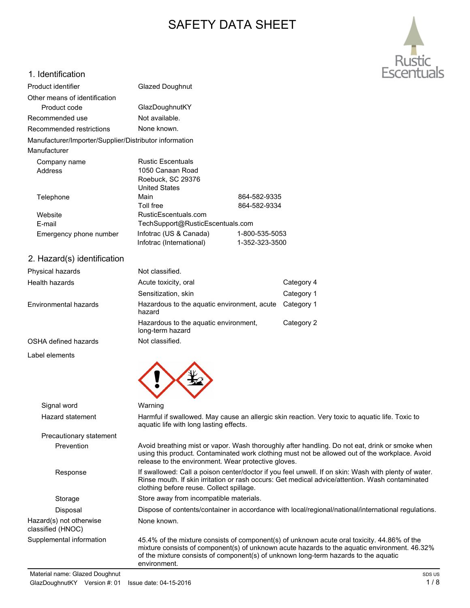# SAFETY DATA SHEET



#### 1. Identification

| Product identifier                                                     | <b>Glazed Doughnut</b>           |                |  |
|------------------------------------------------------------------------|----------------------------------|----------------|--|
| Other means of identification                                          |                                  |                |  |
| Product code                                                           | GlazDoughnutKY                   |                |  |
| Recommended use                                                        | Not available.                   |                |  |
| Recommended restrictions                                               | None known.                      |                |  |
| Manufacturer/Importer/Supplier/Distributor information<br>Manufacturer |                                  |                |  |
|                                                                        |                                  |                |  |
| Company name                                                           | <b>Rustic Escentuals</b>         |                |  |
| 1050 Canaan Road<br>Address                                            |                                  |                |  |
|                                                                        | Roebuck, SC 29376                |                |  |
|                                                                        | <b>United States</b>             |                |  |
| Telephone                                                              | Main                             | 864-582-9335   |  |
|                                                                        | Toll free                        | 864-582-9334   |  |
| Website                                                                | RusticEscentuals.com             |                |  |
| E-mail                                                                 | TechSupport@RusticEscentuals.com |                |  |
| Emergency phone number                                                 | Infotrac (US & Canada)           | 1-800-535-5053 |  |
|                                                                        | Infotrac (International)         | 1-352-323-3500 |  |

#### 2. Hazard(s) identification

| Physical hazards      | Not classified.                                           |            |
|-----------------------|-----------------------------------------------------------|------------|
| Health hazards        | Acute toxicity, oral                                      | Category 4 |
|                       | Sensitization, skin                                       | Category 1 |
| Environmental hazards | Hazardous to the aquatic environment, acute<br>hazard     | Category 1 |
|                       | Hazardous to the aquatic environment,<br>long-term hazard | Category 2 |
| OSHA defined hazards  | Not classified.                                           |            |
| Label elements        |                                                           |            |



#### Signal word Warning Hazard statement Harmful if swallowed. May cause an allergic skin reaction. Very toxic to aquatic life. Toxic to aquatic life with long lasting effects. Precautionary statement Prevention Avoid breathing mist or vapor. Wash thoroughly after handling. Do not eat, drink or smoke when using this product. Contaminated work clothing must not be allowed out of the workplace. Avoid release to the environment. Wear protective gloves. Response If swallowed: Call a poison center/doctor if you feel unwell. If on skin: Wash with plenty of water. Rinse mouth. If skin irritation or rash occurs: Get medical advice/attention. Wash contaminated clothing before reuse. Collect spillage. Storage Store away from incompatible materials. Disposal Dispose of contents/container in accordance with local/regional/national/international regulations. Hazard(s) not otherwise classified (HNOC) None known. Supplemental information 45.4% of the mixture consists of component(s) of unknown acute oral toxicity. 44.86% of the mixture consists of component(s) of unknown acute hazards to the aquatic environment. 46.32% of the mixture consists of component(s) of unknown long-term hazards to the aquatic environment.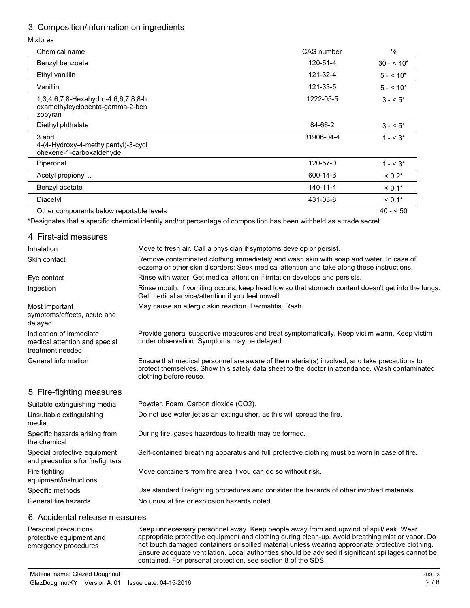## 3. Composition/information on ingredients

#### Mixtures

| Chemical name                                                                     | CAS number | $\%$        |  |
|-----------------------------------------------------------------------------------|------------|-------------|--|
| Benzyl benzoate                                                                   | 120-51-4   | $30 - 540*$ |  |
| Ethyl vanillin                                                                    | 121-32-4   | $5 - 10*$   |  |
| Vanillin                                                                          | 121-33-5   | $5 - 10*$   |  |
| 1,3,4,6,7,8-Hexahydro-4,6,6,7,8,8-h<br>examethylcyclopenta-gamma-2-ben<br>zopyran | 1222-05-5  | $3 - 5^*$   |  |
| Diethyl phthalate                                                                 | 84-66-2    | $3 - 5$     |  |
| 3 and<br>4-(4-Hydroxy-4-methylpentyl)-3-cycl<br>ohexene-1-carboxaldehyde          | 31906-04-4 | $1 - 5.3*$  |  |
| Piperonal                                                                         | 120-57-0   | $1 - 5^*$   |  |
| Acetyl propionyl                                                                  | 600-14-6   | $< 0.2*$    |  |
| Benzyl acetate                                                                    | 140-11-4   | $< 0.1*$    |  |
| Diacetyl                                                                          | 431-03-8   | $< 0.1*$    |  |
|                                                                                   |            |             |  |

Other components below reportable levels 40 - < 50

\*Designates that a specific chemical identity and/or percentage of composition has been withheld as a trade secret.

#### 4. First-aid measures

| Inhalation                                                                   | Move to fresh air. Call a physician if symptoms develop or persist.                                                                                                                                                      |  |  |
|------------------------------------------------------------------------------|--------------------------------------------------------------------------------------------------------------------------------------------------------------------------------------------------------------------------|--|--|
| Skin contact                                                                 | Remove contaminated clothing immediately and wash skin with soap and water. In case of<br>eczema or other skin disorders: Seek medical attention and take along these instructions.                                      |  |  |
| Eye contact                                                                  | Rinse with water. Get medical attention if irritation develops and persists.                                                                                                                                             |  |  |
| Ingestion                                                                    | Rinse mouth. If vomiting occurs, keep head low so that stomach content doesn't get into the lungs.<br>Get medical advice/attention if you feel unwell.                                                                   |  |  |
| Most important<br>symptoms/effects, acute and<br>delayed                     | May cause an allergic skin reaction. Dermatitis. Rash.                                                                                                                                                                   |  |  |
| Indication of immediate<br>medical attention and special<br>treatment needed | Provide general supportive measures and treat symptomatically. Keep victim warm. Keep victim<br>under observation. Symptoms may be delayed.                                                                              |  |  |
| General information                                                          | Ensure that medical personnel are aware of the material(s) involved, and take precautions to<br>protect themselves. Show this safety data sheet to the doctor in attendance. Wash contaminated<br>clothing before reuse. |  |  |
| 5. Fire-fighting measures                                                    |                                                                                                                                                                                                                          |  |  |
| Suitable extinguishing media                                                 | Powder. Foam. Carbon dioxide (CO2).                                                                                                                                                                                      |  |  |
| Unsuitable extinguishing<br>media                                            | Do not use water jet as an extinguisher, as this will spread the fire.                                                                                                                                                   |  |  |
| Specific hazards arising from<br>the chemical                                | During fire, gases hazardous to health may be formed.                                                                                                                                                                    |  |  |
| Special protective equipment<br>and precautions for firefighters             | Self-contained breathing apparatus and full protective clothing must be worn in case of fire.                                                                                                                            |  |  |
| Fire fighting<br>equipment/instructions                                      | Move containers from fire area if you can do so without risk.                                                                                                                                                            |  |  |
| Specific methods                                                             | Use standard firefighting procedures and consider the hazards of other involved materials.                                                                                                                               |  |  |
| General fire hazards                                                         | No unusual fire or explosion hazards noted.                                                                                                                                                                              |  |  |
|                                                                              |                                                                                                                                                                                                                          |  |  |

#### 6. Accidental release measures

Personal precautions, protective equipment and emergency procedures

Keep unnecessary personnel away. Keep people away from and upwind of spill/leak. Wear appropriate protective equipment and clothing during clean-up. Avoid breathing mist or vapor. Do not touch damaged containers or spilled material unless wearing appropriate protective clothing. Ensure adequate ventilation. Local authorities should be advised if significant spillages cannot be contained. For personal protection, see section 8 of the SDS.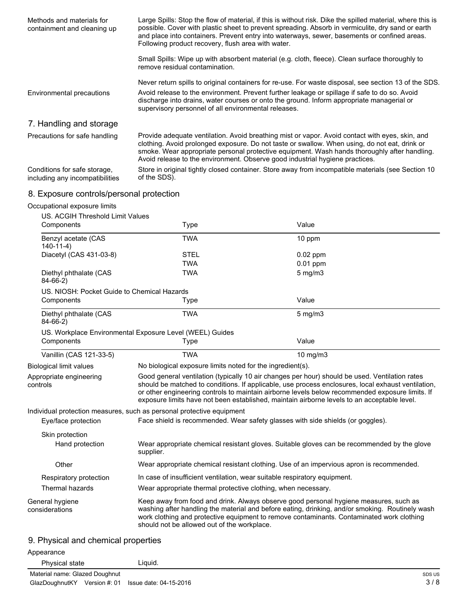| Methods and materials for<br>containment and cleaning up        | Large Spills: Stop the flow of material, if this is without risk. Dike the spilled material, where this is<br>possible. Cover with plastic sheet to prevent spreading. Absorb in vermiculite, dry sand or earth<br>and place into containers. Prevent entry into waterways, sewer, basements or confined areas.<br>Following product recovery, flush area with water.            |
|-----------------------------------------------------------------|----------------------------------------------------------------------------------------------------------------------------------------------------------------------------------------------------------------------------------------------------------------------------------------------------------------------------------------------------------------------------------|
|                                                                 | Small Spills: Wipe up with absorbent material (e.g. cloth, fleece). Clean surface thoroughly to<br>remove residual contamination.                                                                                                                                                                                                                                                |
| Environmental precautions                                       | Never return spills to original containers for re-use. For waste disposal, see section 13 of the SDS.<br>Avoid release to the environment. Prevent further leakage or spillage if safe to do so. Avoid<br>discharge into drains, water courses or onto the ground. Inform appropriate managerial or<br>supervisory personnel of all environmental releases.                      |
| 7. Handling and storage                                         |                                                                                                                                                                                                                                                                                                                                                                                  |
| Precautions for safe handling                                   | Provide adequate ventilation. Avoid breathing mist or vapor. Avoid contact with eyes, skin, and<br>clothing. Avoid prolonged exposure. Do not taste or swallow. When using, do not eat, drink or<br>smoke. Wear appropriate personal protective equipment. Wash hands thoroughly after handling.<br>Avoid release to the environment. Observe good industrial hygiene practices. |
| Conditions for safe storage,<br>including any incompatibilities | Store in original tightly closed container. Store away from incompatible materials (see Section 10<br>of the SDS).                                                                                                                                                                                                                                                               |

## 8. Exposure controls/personal protection

#### Occupational exposure limits

| <b>US. ACGIH Threshold Limit Values</b>                  |                                                                                                                                                                                                                                                                                                                                                                                                        |              |  |  |
|----------------------------------------------------------|--------------------------------------------------------------------------------------------------------------------------------------------------------------------------------------------------------------------------------------------------------------------------------------------------------------------------------------------------------------------------------------------------------|--------------|--|--|
| Components                                               | Type                                                                                                                                                                                                                                                                                                                                                                                                   | Value        |  |  |
| Benzyl acetate (CAS<br>$140 - 11 - 4$                    | <b>TWA</b>                                                                                                                                                                                                                                                                                                                                                                                             | 10 ppm       |  |  |
| Diacetyl (CAS 431-03-8)                                  | <b>STEL</b>                                                                                                                                                                                                                                                                                                                                                                                            | 0.02 ppm     |  |  |
|                                                          | <b>TWA</b>                                                                                                                                                                                                                                                                                                                                                                                             | $0.01$ ppm   |  |  |
| Diethyl phthalate (CAS<br>$84-66-2)$                     | <b>TWA</b>                                                                                                                                                                                                                                                                                                                                                                                             | $5$ mg/m $3$ |  |  |
| US. NIOSH: Pocket Guide to Chemical Hazards              |                                                                                                                                                                                                                                                                                                                                                                                                        |              |  |  |
| Components                                               | Type                                                                                                                                                                                                                                                                                                                                                                                                   | Value        |  |  |
| Diethyl phthalate (CAS<br>$84-66-2)$                     | <b>TWA</b>                                                                                                                                                                                                                                                                                                                                                                                             | $5$ mg/m $3$ |  |  |
| US. Workplace Environmental Exposure Level (WEEL) Guides |                                                                                                                                                                                                                                                                                                                                                                                                        |              |  |  |
| Components                                               | Type                                                                                                                                                                                                                                                                                                                                                                                                   | Value        |  |  |
| Vanillin (CAS 121-33-5)                                  | <b>TWA</b>                                                                                                                                                                                                                                                                                                                                                                                             | 10 mg/m3     |  |  |
| <b>Biological limit values</b>                           | No biological exposure limits noted for the ingredient(s).                                                                                                                                                                                                                                                                                                                                             |              |  |  |
| Appropriate engineering<br>controls                      | Good general ventilation (typically 10 air changes per hour) should be used. Ventilation rates<br>should be matched to conditions. If applicable, use process enclosures, local exhaust ventilation,<br>or other engineering controls to maintain airborne levels below recommended exposure limits. If<br>exposure limits have not been established, maintain airborne levels to an acceptable level. |              |  |  |
|                                                          | Individual protection measures, such as personal protective equipment                                                                                                                                                                                                                                                                                                                                  |              |  |  |
| Eye/face protection                                      | Face shield is recommended. Wear safety glasses with side shields (or goggles).                                                                                                                                                                                                                                                                                                                        |              |  |  |
| Skin protection                                          |                                                                                                                                                                                                                                                                                                                                                                                                        |              |  |  |
| Hand protection                                          | Wear appropriate chemical resistant gloves. Suitable gloves can be recommended by the glove<br>supplier.                                                                                                                                                                                                                                                                                               |              |  |  |
| Other                                                    | Wear appropriate chemical resistant clothing. Use of an impervious apron is recommended.                                                                                                                                                                                                                                                                                                               |              |  |  |
| Respiratory protection                                   | In case of insufficient ventilation, wear suitable respiratory equipment.                                                                                                                                                                                                                                                                                                                              |              |  |  |
| Thermal hazards                                          | Wear appropriate thermal protective clothing, when necessary.                                                                                                                                                                                                                                                                                                                                          |              |  |  |
| General hygiene<br>considerations                        | Keep away from food and drink. Always observe good personal hygiene measures, such as<br>washing after handling the material and before eating, drinking, and/or smoking. Routinely wash<br>work clothing and protective equipment to remove contaminants. Contaminated work clothing<br>should not be allowed out of the workplace.                                                                   |              |  |  |

# 9. Physical and chemical properties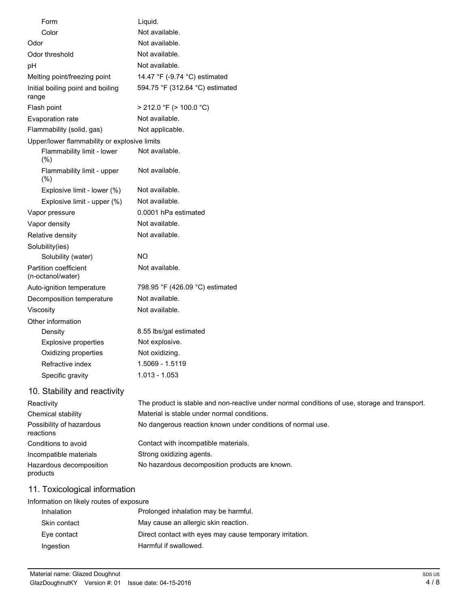| Form                                         | Liquid.                                                                                       |
|----------------------------------------------|-----------------------------------------------------------------------------------------------|
| Color                                        | Not available.                                                                                |
| Odor                                         | Not available.                                                                                |
| Odor threshold                               | Not available.                                                                                |
| pH                                           | Not available.                                                                                |
| Melting point/freezing point                 | 14.47 °F (-9.74 °C) estimated                                                                 |
| Initial boiling point and boiling<br>range   | 594.75 °F (312.64 °C) estimated                                                               |
| Flash point                                  | $> 212.0$ °F ( $> 100.0$ °C)                                                                  |
| Evaporation rate                             | Not available.                                                                                |
| Flammability (solid, gas)                    | Not applicable.                                                                               |
| Upper/lower flammability or explosive limits |                                                                                               |
| Flammability limit - lower<br>(%)            | Not available.                                                                                |
| Flammability limit - upper<br>(%)            | Not available.                                                                                |
| Explosive limit - lower (%)                  | Not available.                                                                                |
| Explosive limit - upper (%)                  | Not available.                                                                                |
| Vapor pressure                               | 0.0001 hPa estimated                                                                          |
| Vapor density                                | Not available.                                                                                |
| Relative density                             | Not available.                                                                                |
| Solubility(ies)                              |                                                                                               |
| Solubility (water)                           | <b>NO</b>                                                                                     |
| Partition coefficient<br>(n-octanol/water)   | Not available.                                                                                |
| Auto-ignition temperature                    | 798.95 °F (426.09 °C) estimated                                                               |
| Decomposition temperature                    | Not available.                                                                                |
| Viscosity                                    | Not available.                                                                                |
| Other information                            |                                                                                               |
| Density                                      | 8.55 lbs/gal estimated                                                                        |
| <b>Explosive properties</b>                  | Not explosive.                                                                                |
| Oxidizing properties                         | Not oxidizing.                                                                                |
| Refractive index                             | 1.5069 - 1.5119                                                                               |
| Specific gravity                             | $1.013 - 1.053$                                                                               |
| 10. Stability and reactivity                 |                                                                                               |
| Reactivity                                   | The product is stable and non-reactive under normal conditions of use, storage and transport. |
| Chemical stability                           | Material is stable under normal conditions.                                                   |
| Possibility of hazardous<br>reactions        | No dangerous reaction known under conditions of normal use.                                   |
| Conditions to avoid                          | Contact with incompatible materials.                                                          |
| Incompatible materials                       | Strong oxidizing agents.                                                                      |
| Hazardous decomposition<br>products          | No hazardous decomposition products are known.                                                |
|                                              |                                                                                               |

# 11. Toxicological information

| Information on likely routes of exposure |                                                          |  |  |
|------------------------------------------|----------------------------------------------------------|--|--|
| Inhalation                               | Prolonged inhalation may be harmful.                     |  |  |
| Skin contact                             | May cause an allergic skin reaction.                     |  |  |
| Eye contact                              | Direct contact with eyes may cause temporary irritation. |  |  |
| Ingestion                                | Harmful if swallowed.                                    |  |  |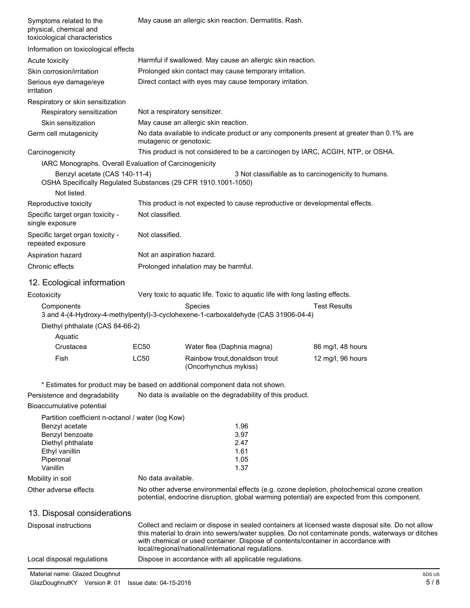| Symptoms related to the<br>physical, chemical and<br>toxicological characteristics                             | May cause an allergic skin reaction. Dermatitis. Rash.                                                                                                                                                                                       |                                                                                 |  |                                                                                                                                                                                            |
|----------------------------------------------------------------------------------------------------------------|----------------------------------------------------------------------------------------------------------------------------------------------------------------------------------------------------------------------------------------------|---------------------------------------------------------------------------------|--|--------------------------------------------------------------------------------------------------------------------------------------------------------------------------------------------|
| Information on toxicological effects                                                                           |                                                                                                                                                                                                                                              |                                                                                 |  |                                                                                                                                                                                            |
| Acute toxicity                                                                                                 | Harmful if swallowed. May cause an allergic skin reaction.                                                                                                                                                                                   |                                                                                 |  |                                                                                                                                                                                            |
| Skin corrosion/irritation                                                                                      |                                                                                                                                                                                                                                              | Prolonged skin contact may cause temporary irritation.                          |  |                                                                                                                                                                                            |
| Serious eye damage/eye<br>irritation                                                                           |                                                                                                                                                                                                                                              | Direct contact with eyes may cause temporary irritation.                        |  |                                                                                                                                                                                            |
| Respiratory or skin sensitization                                                                              |                                                                                                                                                                                                                                              |                                                                                 |  |                                                                                                                                                                                            |
| Respiratory sensitization                                                                                      | Not a respiratory sensitizer.                                                                                                                                                                                                                |                                                                                 |  |                                                                                                                                                                                            |
| Skin sensitization                                                                                             |                                                                                                                                                                                                                                              | May cause an allergic skin reaction.                                            |  |                                                                                                                                                                                            |
| Germ cell mutagenicity                                                                                         | mutagenic or genotoxic.                                                                                                                                                                                                                      |                                                                                 |  | No data available to indicate product or any components present at greater than 0.1% are                                                                                                   |
| Carcinogenicity                                                                                                |                                                                                                                                                                                                                                              | This product is not considered to be a carcinogen by IARC, ACGIH, NTP, or OSHA. |  |                                                                                                                                                                                            |
| IARC Monographs. Overall Evaluation of Carcinogenicity                                                         |                                                                                                                                                                                                                                              |                                                                                 |  |                                                                                                                                                                                            |
| Benzyl acetate (CAS 140-11-4)<br>OSHA Specifically Regulated Substances (29 CFR 1910.1001-1050)<br>Not listed. |                                                                                                                                                                                                                                              |                                                                                 |  | 3 Not classifiable as to carcinogenicity to humans.                                                                                                                                        |
| Reproductive toxicity                                                                                          |                                                                                                                                                                                                                                              | This product is not expected to cause reproductive or developmental effects.    |  |                                                                                                                                                                                            |
| Specific target organ toxicity -<br>single exposure                                                            | Not classified.                                                                                                                                                                                                                              |                                                                                 |  |                                                                                                                                                                                            |
| Specific target organ toxicity -<br>repeated exposure                                                          | Not classified.                                                                                                                                                                                                                              |                                                                                 |  |                                                                                                                                                                                            |
| Aspiration hazard                                                                                              | Not an aspiration hazard.                                                                                                                                                                                                                    |                                                                                 |  |                                                                                                                                                                                            |
| Chronic effects                                                                                                |                                                                                                                                                                                                                                              | Prolonged inhalation may be harmful.                                            |  |                                                                                                                                                                                            |
| 12. Ecological information                                                                                     |                                                                                                                                                                                                                                              |                                                                                 |  |                                                                                                                                                                                            |
| Ecotoxicity                                                                                                    |                                                                                                                                                                                                                                              | Very toxic to aquatic life. Toxic to aquatic life with long lasting effects.    |  |                                                                                                                                                                                            |
| Components<br>3 and 4-(4-Hydroxy-4-methylpentyl)-3-cyclohexene-1-carboxaldehyde (CAS 31906-04-4)               |                                                                                                                                                                                                                                              | <b>Species</b>                                                                  |  | <b>Test Results</b>                                                                                                                                                                        |
| Diethyl phthalate (CAS 84-66-2)<br>Aquatic                                                                     |                                                                                                                                                                                                                                              |                                                                                 |  |                                                                                                                                                                                            |
| Crustacea                                                                                                      | <b>EC50</b>                                                                                                                                                                                                                                  | Water flea (Daphnia magna)                                                      |  | 86 mg/l, 48 hours                                                                                                                                                                          |
| Fish                                                                                                           | <b>LC50</b>                                                                                                                                                                                                                                  | Rainbow trout, donaldson trout<br>(Oncorhynchus mykiss)                         |  | 12 mg/l, 96 hours                                                                                                                                                                          |
| * Estimates for product may be based on additional component data not shown.                                   |                                                                                                                                                                                                                                              |                                                                                 |  |                                                                                                                                                                                            |
| Persistence and degradability                                                                                  |                                                                                                                                                                                                                                              | No data is available on the degradability of this product.                      |  |                                                                                                                                                                                            |
| Bioaccumulative potential                                                                                      |                                                                                                                                                                                                                                              |                                                                                 |  |                                                                                                                                                                                            |
| Partition coefficient n-octanol / water (log Kow)                                                              |                                                                                                                                                                                                                                              |                                                                                 |  |                                                                                                                                                                                            |
| Benzyl acetate                                                                                                 |                                                                                                                                                                                                                                              | 1.96                                                                            |  |                                                                                                                                                                                            |
| Benzyl benzoate                                                                                                |                                                                                                                                                                                                                                              | 3.97                                                                            |  |                                                                                                                                                                                            |
| Diethyl phthalate                                                                                              |                                                                                                                                                                                                                                              | 2.47                                                                            |  |                                                                                                                                                                                            |
| Ethyl vanillin<br>Piperonal                                                                                    |                                                                                                                                                                                                                                              | 1.61<br>1.05                                                                    |  |                                                                                                                                                                                            |
| Vanillin                                                                                                       |                                                                                                                                                                                                                                              | 1.37                                                                            |  |                                                                                                                                                                                            |
| Mobility in soil                                                                                               | No data available.                                                                                                                                                                                                                           |                                                                                 |  |                                                                                                                                                                                            |
| Other adverse effects                                                                                          |                                                                                                                                                                                                                                              |                                                                                 |  | No other adverse environmental effects (e.g. ozone depletion, photochemical ozone creation<br>potential, endocrine disruption, global warming potential) are expected from this component. |
| 13. Disposal considerations                                                                                    |                                                                                                                                                                                                                                              |                                                                                 |  |                                                                                                                                                                                            |
| Disposal instructions                                                                                          |                                                                                                                                                                                                                                              |                                                                                 |  | Collect and reclaim or dispose in sealed containers at licensed waste disposal site. Do not allow                                                                                          |
|                                                                                                                | this material to drain into sewers/water supplies. Do not contaminate ponds, waterways or ditches<br>with chemical or used container. Dispose of contents/container in accordance with<br>local/regional/national/international regulations. |                                                                                 |  |                                                                                                                                                                                            |
| Local disposal regulations                                                                                     |                                                                                                                                                                                                                                              | Dispose in accordance with all applicable regulations.                          |  |                                                                                                                                                                                            |

Material name: Glazed Doughnut SDS US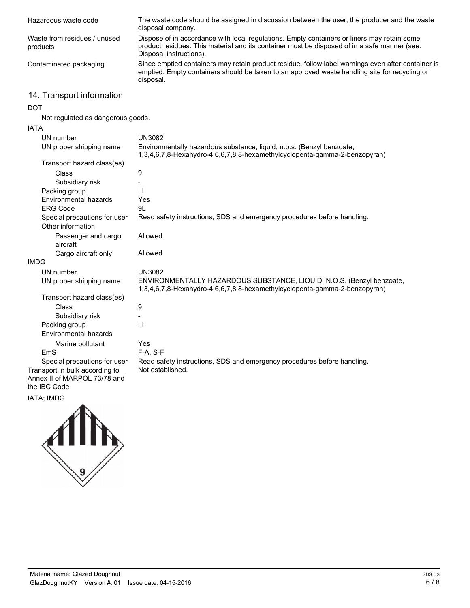| Hazardous waste code                                                           | The waste code should be assigned in discussion between the user, the producer and the waste<br>disposal company.                                                                                                      |
|--------------------------------------------------------------------------------|------------------------------------------------------------------------------------------------------------------------------------------------------------------------------------------------------------------------|
| Waste from residues / unused<br>products                                       | Dispose of in accordance with local regulations. Empty containers or liners may retain some<br>product residues. This material and its container must be disposed of in a safe manner (see:<br>Disposal instructions). |
| Contaminated packaging                                                         | Since emptied containers may retain product residue, follow label warnings even after container is<br>emptied. Empty containers should be taken to an approved waste handling site for recycling or<br>disposal.       |
| 14. Transport information                                                      |                                                                                                                                                                                                                        |
| <b>DOT</b>                                                                     |                                                                                                                                                                                                                        |
| Not regulated as dangerous goods.                                              |                                                                                                                                                                                                                        |
| <b>IATA</b>                                                                    |                                                                                                                                                                                                                        |
| UN number                                                                      | <b>UN3082</b>                                                                                                                                                                                                          |
| UN proper shipping name                                                        | Environmentally hazardous substance, liquid, n.o.s. (Benzyl benzoate,<br>1,3,4,6,7,8-Hexahydro-4,6,6,7,8,8-hexamethylcyclopenta-gamma-2-benzopyran)                                                                    |
| Transport hazard class(es)                                                     |                                                                                                                                                                                                                        |
| Class                                                                          | 9                                                                                                                                                                                                                      |
| Subsidiary risk                                                                |                                                                                                                                                                                                                        |
| Packing group                                                                  | Ш                                                                                                                                                                                                                      |
| Environmental hazards                                                          | Yes                                                                                                                                                                                                                    |
| <b>ERG Code</b>                                                                | 9L                                                                                                                                                                                                                     |
| Special precautions for user<br>Other information                              | Read safety instructions, SDS and emergency procedures before handling.                                                                                                                                                |
| Passenger and cargo<br>aircraft                                                | Allowed.                                                                                                                                                                                                               |
| Cargo aircraft only                                                            | Allowed.                                                                                                                                                                                                               |
| <b>IMDG</b>                                                                    |                                                                                                                                                                                                                        |
| UN number                                                                      | <b>UN3082</b>                                                                                                                                                                                                          |
| UN proper shipping name                                                        | ENVIRONMENTALLY HAZARDOUS SUBSTANCE, LIQUID, N.O.S. (Benzyl benzoate,<br>1,3,4,6,7,8-Hexahydro-4,6,6,7,8,8-hexamethylcyclopenta-gamma-2-benzopyran)                                                                    |
| Transport hazard class(es)                                                     |                                                                                                                                                                                                                        |
| Class                                                                          | 9                                                                                                                                                                                                                      |
| Subsidiary risk                                                                |                                                                                                                                                                                                                        |
| Packing group                                                                  | Ш                                                                                                                                                                                                                      |
| Environmental hazards                                                          |                                                                                                                                                                                                                        |
| Marine pollutant                                                               | Yes                                                                                                                                                                                                                    |
| EmS                                                                            | F-A, S-F                                                                                                                                                                                                               |
| Special precautions for user                                                   | Read safety instructions, SDS and emergency procedures before handling.                                                                                                                                                |
| Transport in bulk according to<br>Annex II of MARPOL 73/78 and<br>the IBC Code | Not established.                                                                                                                                                                                                       |

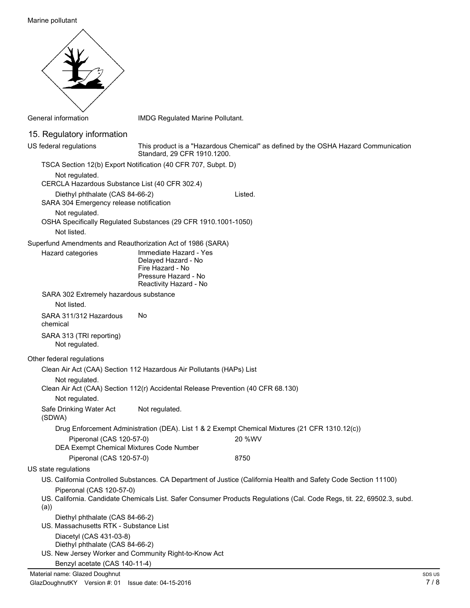Marine pollutant



General information **IMDG** Regulated Marine Pollutant.

### 15. Regulatory information

This product is a "Hazardous Chemical" as defined by the OSHA Hazard Communication Standard, 29 CFR 1910.1200. US federal regulations TSCA Section 12(b) Export Notification (40 CFR 707, Subpt. D) Not regulated. CERCLA Hazardous Substance List (40 CFR 302.4) Diethyl phthalate (CAS 84-66-2) Listed. SARA 304 Emergency release notification Not regulated. OSHA Specifically Regulated Substances (29 CFR 1910.1001-1050) Not listed. Superfund Amendments and Reauthorization Act of 1986 (SARA) Immediate Hazard - Yes Delayed Hazard - No Fire Hazard - No Pressure Hazard - No Reactivity Hazard - No Hazard categories SARA 302 Extremely hazardous substance Not listed. SARA 311/312 Hazardous No chemical SARA 313 (TRI reporting) Not regulated. Other federal regulations Clean Air Act (CAA) Section 112 Hazardous Air Pollutants (HAPs) List Not regulated. Clean Air Act (CAA) Section 112(r) Accidental Release Prevention (40 CFR 68.130) Not regulated. Safe Drinking Water Act Not regulated. (SDWA) Drug Enforcement Administration (DEA). List 1 & 2 Exempt Chemical Mixtures (21 CFR 1310.12(c)) Piperonal (CAS 120-57-0) 20 %WV DEA Exempt Chemical Mixtures Code Number Piperonal (CAS 120-57-0) 8750 US state regulations US. California Controlled Substances. CA Department of Justice (California Health and Safety Code Section 11100) Piperonal (CAS 120-57-0) US. California. Candidate Chemicals List. Safer Consumer Products Regulations (Cal. Code Regs, tit. 22, 69502.3, subd. (a))

- Diethyl phthalate (CAS 84-66-2)
- US. Massachusetts RTK Substance List Diacetyl (CAS 431-03-8) Diethyl phthalate (CAS 84-66-2) US. New Jersey Worker and Community Right-to-Know Act

```
Benzyl acetate (CAS 140-11-4)
```